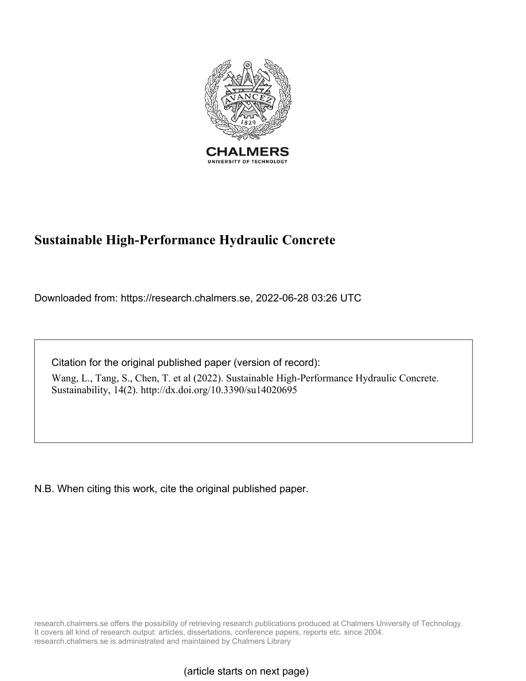

# **Sustainable High-Performance Hydraulic Concrete**

Downloaded from: https://research.chalmers.se, 2022-06-28 03:26 UTC

Citation for the original published paper (version of record):

Wang, L., Tang, S., Chen, T. et al (2022). Sustainable High-Performance Hydraulic Concrete. Sustainability, 14(2). http://dx.doi.org/10.3390/su14020695

N.B. When citing this work, cite the original published paper.

research.chalmers.se offers the possibility of retrieving research publications produced at Chalmers University of Technology. It covers all kind of research output: articles, dissertations, conference papers, reports etc. since 2004. research.chalmers.se is administrated and maintained by Chalmers Library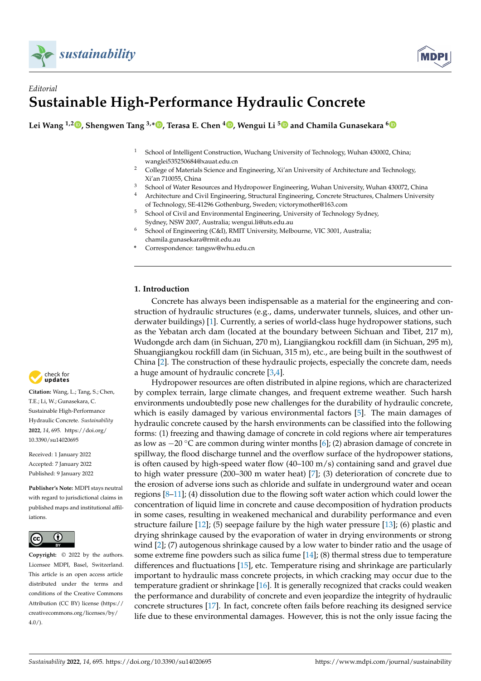



## *Editorial* **Sustainable High-Performance Hydraulic Concrete**

**Lei Wang 1,2 [,](https://orcid.org/0000-0002-1821-2330) Shengwen Tang 3,[\\*](https://orcid.org/0000-0001-6635-9444) , Terasa E. Chen <sup>4</sup> [,](https://orcid.org/0000-0003-0547-6406) Wengui Li [5](https://orcid.org/0000-0002-4651-1215) and Chamila Gunasekara [6](https://orcid.org/0000-0003-2013-8720)**

- <sup>1</sup> School of Intelligent Construction, Wuchang University of Technology, Wuhan 430002, China; wanglei535250684@xauat.edu.cn
- <sup>2</sup> College of Materials Science and Engineering, Xi'an University of Architecture and Technology, Xi'an 710055, China
- <sup>3</sup> School of Water Resources and Hydropower Engineering, Wuhan University, Wuhan 430072, China
- <sup>4</sup> Architecture and Civil Engineering, Structural Engineering, Concrete Structures, Chalmers University of Technology, SE-41296 Gothenburg, Sweden; victorymother@163.com
- <sup>5</sup> School of Civil and Environmental Engineering, University of Technology Sydney, Sydney, NSW 2007, Australia; wengui.li@uts.edu.au
- <sup>6</sup> School of Engineering (C&I), RMIT University, Melbourne, VIC 3001, Australia; chamila.gunasekara@rmit.edu.au
- **\*** Correspondence: tangsw@whu.edu.cn

### **1. Introduction**

Concrete has always been indispensable as a material for the engineering and construction of hydraulic structures (e.g., dams, underwater tunnels, sluices, and other underwater buildings) [\[1\]](#page-3-0). Currently, a series of world-class huge hydropower stations, such as the Yebatan arch dam (located at the boundary between Sichuan and Tibet, 217 m), Wudongde arch dam (in Sichuan, 270 m), Liangjiangkou rockfill dam (in Sichuan, 295 m), Shuangjiangkou rockfill dam (in Sichuan, 315 m), etc., are being built in the southwest of China [\[2\]](#page-3-1). The construction of these hydraulic projects, especially the concrete dam, needs a huge amount of hydraulic concrete [\[3](#page-3-2)[,4\]](#page-3-3).

Hydropower resources are often distributed in alpine regions, which are characterized by complex terrain, large climate changes, and frequent extreme weather. Such harsh environments undoubtedly pose new challenges for the durability of hydraulic concrete, which is easily damaged by various environmental factors [\[5\]](#page-3-4). The main damages of hydraulic concrete caused by the harsh environments can be classified into the following forms: (1) freezing and thawing damage of concrete in cold regions where air temperatures as low as  $-20$  °C are common during winter months [\[6\]](#page-3-5); (2) abrasion damage of concrete in spillway, the flood discharge tunnel and the overflow surface of the hydropower stations, is often caused by high-speed water flow (40–100 m/s) containing sand and gravel due to high water pressure (200–300 m water heat) [\[7\]](#page-3-6); (3) deterioration of concrete due to the erosion of adverse ions such as chloride and sulfate in underground water and ocean regions [\[8–](#page-4-0)[11\]](#page-4-1); (4) dissolution due to the flowing soft water action which could lower the concentration of liquid lime in concrete and cause decomposition of hydration products in some cases, resulting in weakened mechanical and durability performance and even structure failure [\[12\]](#page-4-2); (5) seepage failure by the high water pressure [\[13\]](#page-4-3); (6) plastic and drying shrinkage caused by the evaporation of water in drying environments or strong wind [\[2\]](#page-3-1); (7) autogenous shrinkage caused by a low water to binder ratio and the usage of some extreme fine powders such as silica fume [\[14\]](#page-4-4); (8) thermal stress due to temperature differences and fluctuations [\[15\]](#page-4-5), etc. Temperature rising and shrinkage are particularly important to hydraulic mass concrete projects, in which cracking may occur due to the temperature gradient or shrinkage [\[16\]](#page-4-6). It is generally recognized that cracks could weaken the performance and durability of concrete and even jeopardize the integrity of hydraulic concrete structures [\[17\]](#page-4-7). In fact, concrete often fails before reaching its designed service life due to these environmental damages. However, this is not the only issue facing the



**Citation:** Wang, L.; Tang, S.; Chen, T.E.; Li, W.; Gunasekara, C. Sustainable High-Performance Hydraulic Concrete. *Sustainability* **2022**, *14*, 695. [https://doi.org/](https://doi.org/10.3390/su14020695) [10.3390/su14020695](https://doi.org/10.3390/su14020695)

Received: 1 January 2022 Accepted: 7 January 2022 Published: 9 January 2022

**Publisher's Note:** MDPI stays neutral with regard to jurisdictional claims in published maps and institutional affiliations.



**Copyright:** © 2022 by the authors. Licensee MDPI, Basel, Switzerland. This article is an open access article distributed under the terms and conditions of the Creative Commons Attribution (CC BY) license [\(https://](https://creativecommons.org/licenses/by/4.0/) [creativecommons.org/licenses/by/](https://creativecommons.org/licenses/by/4.0/)  $4.0/$ ).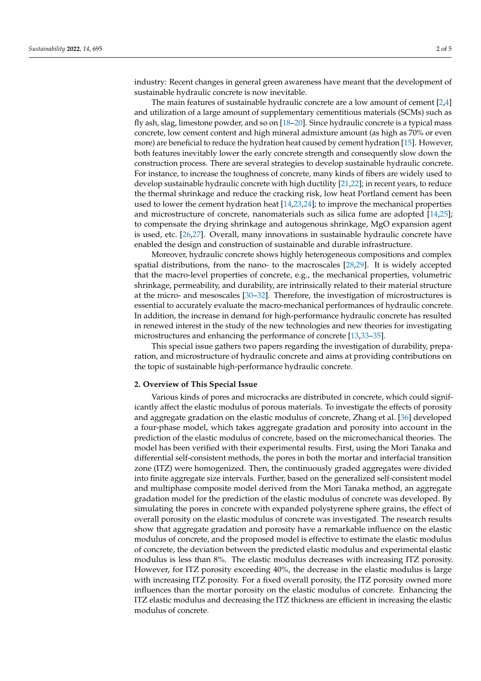industry: Recent changes in general green awareness have meant that the development of sustainable hydraulic concrete is now inevitable.

The main features of sustainable hydraulic concrete are a low amount of cement [\[2,](#page-3-1)[4\]](#page-3-3) and utilization of a large amount of supplementary cementitious materials (SCMs) such as fly ash, slag, limestone powder, and so on [\[18–](#page-4-8)[20\]](#page-4-9). Since hydraulic concrete is a typical mass concrete, low cement content and high mineral admixture amount (as high as 70% or even more) are beneficial to reduce the hydration heat caused by cement hydration [\[15\]](#page-4-5). However, both features inevitably lower the early concrete strength and consequently slow down the construction process. There are several strategies to develop sustainable hydraulic concrete. For instance, to increase the toughness of concrete, many kinds of fibers are widely used to develop sustainable hydraulic concrete with high ductility [\[21,](#page-4-10)[22\]](#page-4-11); in recent years, to reduce the thermal shrinkage and reduce the cracking risk, low heat Portland cement has been used to lower the cement hydration heat [\[14](#page-4-4)[,23](#page-4-12)[,24\]](#page-4-13); to improve the mechanical properties and microstructure of concrete, nanomaterials such as silica fume are adopted [\[14,](#page-4-4)[25\]](#page-4-14); to compensate the drying shrinkage and autogenous shrinkage, MgO expansion agent is used, etc. [\[26,](#page-4-15)[27\]](#page-4-16). Overall, many innovations in sustainable hydraulic concrete have enabled the design and construction of sustainable and durable infrastructure.

Moreover, hydraulic concrete shows highly heterogeneous compositions and complex spatial distributions, from the nano- to the macroscales [\[28](#page-4-17)[,29\]](#page-4-18). It is widely accepted that the macro-level properties of concrete, e.g., the mechanical properties, volumetric shrinkage, permeability, and durability, are intrinsically related to their material structure at the micro- and mesoscales [\[30](#page-4-19)[–32\]](#page-4-20). Therefore, the investigation of microstructures is essential to accurately evaluate the macro-mechanical performances of hydraulic concrete. In addition, the increase in demand for high-performance hydraulic concrete has resulted in renewed interest in the study of the new technologies and new theories for investigating microstructures and enhancing the performance of concrete [\[13,](#page-4-3)[33–](#page-4-21)[35\]](#page-4-22).

This special issue gathers two papers regarding the investigation of durability, preparation, and microstructure of hydraulic concrete and aims at providing contributions on the topic of sustainable high-performance hydraulic concrete.

#### **2. Overview of This Special Issue**

Various kinds of pores and microcracks are distributed in concrete, which could significantly affect the elastic modulus of porous materials. To investigate the effects of porosity and aggregate gradation on the elastic modulus of concrete, Zhang et al. [\[36\]](#page-4-23) developed a four-phase model, which takes aggregate gradation and porosity into account in the prediction of the elastic modulus of concrete, based on the micromechanical theories. The model has been verified with their experimental results. First, using the Mori Tanaka and differential self-consistent methods, the pores in both the mortar and interfacial transition zone (ITZ) were homogenized. Then, the continuously graded aggregates were divided into finite aggregate size intervals. Further, based on the generalized self-consistent model and multiphase composite model derived from the Mori Tanaka method, an aggregate gradation model for the prediction of the elastic modulus of concrete was developed. By simulating the pores in concrete with expanded polystyrene sphere grains, the effect of overall porosity on the elastic modulus of concrete was investigated. The research results show that aggregate gradation and porosity have a remarkable influence on the elastic modulus of concrete, and the proposed model is effective to estimate the elastic modulus of concrete, the deviation between the predicted elastic modulus and experimental elastic modulus is less than 8%. The elastic modulus decreases with increasing ITZ porosity. However, for ITZ porosity exceeding 40%, the decrease in the elastic modulus is large with increasing ITZ porosity. For a fixed overall porosity, the ITZ porosity owned more influences than the mortar porosity on the elastic modulus of concrete. Enhancing the ITZ elastic modulus and decreasing the ITZ thickness are efficient in increasing the elastic modulus of concrete.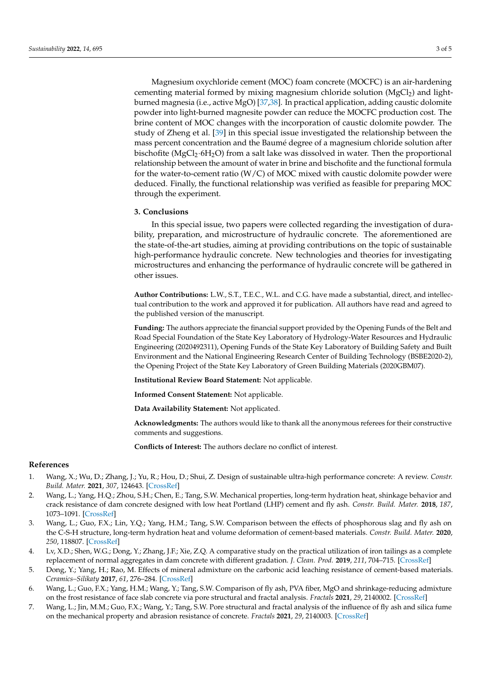Magnesium oxychloride cement (MOC) foam concrete (MOCFC) is an air-hardening cementing material formed by mixing magnesium chloride solution ( $MgCl<sub>2</sub>$ ) and lightburned magnesia (i.e., active MgO) [\[37,](#page-5-0)[38\]](#page-5-1). In practical application, adding caustic dolomite powder into light-burned magnesite powder can reduce the MOCFC production cost. The brine content of MOC changes with the incorporation of caustic dolomite powder. The study of Zheng et al. [\[39\]](#page-5-2) in this special issue investigated the relationship between the mass percent concentration and the Baumé degree of a magnesium chloride solution after bischofite ( $MgCl_2·6H_2O$ ) from a salt lake was dissolved in water. Then the proportional relationship between the amount of water in brine and bischofite and the functional formula for the water-to-cement ratio (W/C) of MOC mixed with caustic dolomite powder were deduced. Finally, the functional relationship was verified as feasible for preparing MOC through the experiment.

#### **3. Conclusions**

In this special issue, two papers were collected regarding the investigation of durability, preparation, and microstructure of hydraulic concrete. The aforementioned are the state-of-the-art studies, aiming at providing contributions on the topic of sustainable high-performance hydraulic concrete. New technologies and theories for investigating microstructures and enhancing the performance of hydraulic concrete will be gathered in other issues.

**Author Contributions:** L.W., S.T., T.E.C., W.L. and C.G. have made a substantial, direct, and intellectual contribution to the work and approved it for publication. All authors have read and agreed to the published version of the manuscript.

**Funding:** The authors appreciate the financial support provided by the Opening Funds of the Belt and Road Special Foundation of the State Key Laboratory of Hydrology-Water Resources and Hydraulic Engineering (2020492311), Opening Funds of the State Key Laboratory of Building Safety and Built Environment and the National Engineering Research Center of Building Technology (BSBE2020-2), the Opening Project of the State Key Laboratory of Green Building Materials (2020GBM07).

**Institutional Review Board Statement:** Not applicable.

**Informed Consent Statement:** Not applicable.

**Data Availability Statement:** Not applicated.

**Acknowledgments:** The authors would like to thank all the anonymous referees for their constructive comments and suggestions.

**Conflicts of Interest:** The authors declare no conflict of interest.

#### **References**

- <span id="page-3-0"></span>1. Wang, X.; Wu, D.; Zhang, J.; Yu, R.; Hou, D.; Shui, Z. Design of sustainable ultra-high performance concrete: A review. *Constr. Build. Mater.* **2021**, *307*, 124643. [\[CrossRef\]](http://doi.org/10.1016/j.conbuildmat.2021.124643)
- <span id="page-3-1"></span>2. Wang, L.; Yang, H.Q.; Zhou, S.H.; Chen, E.; Tang, S.W. Mechanical properties, long-term hydration heat, shinkage behavior and crack resistance of dam concrete designed with low heat Portland (LHP) cement and fly ash. *Constr. Build. Mater.* **2018**, *187*, 1073–1091. [\[CrossRef\]](http://doi.org/10.1016/j.conbuildmat.2018.08.056)
- <span id="page-3-2"></span>3. Wang, L.; Guo, F.X.; Lin, Y.Q.; Yang, H.M.; Tang, S.W. Comparison between the effects of phosphorous slag and fly ash on the C-S-H structure, long-term hydration heat and volume deformation of cement-based materials. *Constr. Build. Mater.* **2020**, *250*, 118807. [\[CrossRef\]](http://doi.org/10.1016/j.conbuildmat.2020.118807)
- <span id="page-3-3"></span>4. Lv, X.D.; Shen, W.G.; Dong, Y.; Zhang, J.F.; Xie, Z.Q. A comparative study on the practical utilization of iron tailings as a complete replacement of normal aggregates in dam concrete with different gradation. *J. Clean. Prod.* **2019**, *211*, 704–715. [\[CrossRef\]](http://doi.org/10.1016/j.jclepro.2018.11.107)
- <span id="page-3-4"></span>5. Dong, Y.; Yang, H.; Rao, M. Effects of mineral admixture on the carbonic acid leaching resistance of cement-based materials. *Ceramics–Silikaty* **2017**, *61*, 276–284. [\[CrossRef\]](http://doi.org/10.13168/cs.2017.0026)
- <span id="page-3-5"></span>6. Wang, L.; Guo, F.X.; Yang, H.M.; Wang, Y.; Tang, S.W. Comparison of fly ash, PVA fiber, MgO and shrinkage-reducing admixture on the frost resistance of face slab concrete via pore structural and fractal analysis. *Fractals* **2021**, *29*, 2140002. [\[CrossRef\]](http://doi.org/10.1142/S0218348X21400028)
- <span id="page-3-6"></span>7. Wang, L.; Jin, M.M.; Guo, F.X.; Wang, Y.; Tang, S.W. Pore structural and fractal analysis of the influence of fly ash and silica fume on the mechanical property and abrasion resistance of concrete. *Fractals* **2021**, *29*, 2140003. [\[CrossRef\]](http://doi.org/10.1142/S0218348X2140003X)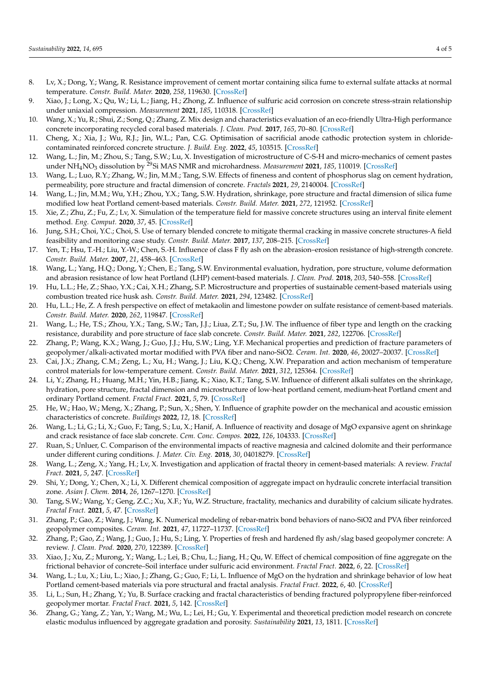- <span id="page-4-0"></span>8. Lv, X.; Dong, Y.; Wang, R. Resistance improvement of cement mortar containing silica fume to external sulfate attacks at normal temperature. *Constr. Build. Mater.* **2020**, *258*, 119630. [\[CrossRef\]](http://doi.org/10.1016/j.conbuildmat.2020.119630)
- 9. Xiao, J.; Long, X.; Qu, W.; Li, L.; Jiang, H.; Zhong, Z. Influence of sulfuric acid corrosion on concrete stress-strain relationship under uniaxial compression. *Measurement* **2021**, *185*, 110318. [\[CrossRef\]](http://doi.org/10.1016/j.measurement.2021.110318)
- 10. Wang, X.; Yu, R.; Shui, Z.; Song, Q.; Zhang, Z. Mix design and characteristics evaluation of an eco-friendly Ultra-High performance concrete incorporating recycled coral based materials. *J. Clean. Prod.* **2017**, *165*, 70–80. [\[CrossRef\]](http://doi.org/10.1016/j.jclepro.2017.07.096)
- <span id="page-4-1"></span>11. Cheng, X.; Xia, J.; Wu, R.J.; Jin, W.L.; Pan, C.G. Optimisation of sacrificial anode cathodic protection system in chloridecontaminated reinforced concrete structure. *J. Build. Eng.* **2022**, *45*, 103515. [\[CrossRef\]](http://doi.org/10.1016/j.jobe.2021.103515)
- <span id="page-4-2"></span>12. Wang, L.; Jin, M.; Zhou, S.; Tang, S.W.; Lu, X. Investigation of microstructure of C-S-H and micro-mechanics of cement pastes under NH4NO<sup>3</sup> dissolution by <sup>29</sup>Si MAS NMR and microhardness. *Measurement* **2021**, *185*, 110019. [\[CrossRef\]](http://doi.org/10.1016/j.measurement.2021.110019)
- <span id="page-4-3"></span>13. Wang, L.; Luo, R.Y.; Zhang, W.; Jin, M.M.; Tang, S.W. Effects of fineness and content of phosphorus slag on cement hydration, permeability, pore structure and fractal dimension of concrete. *Fractals* **2021**, *29*, 2140004. [\[CrossRef\]](http://doi.org/10.1142/S0218348X21400041)
- <span id="page-4-4"></span>14. Wang, L.; Jin, M.M.; Wu, Y.H.; Zhou, Y.X.; Tang, S.W. Hydration, shrinkage, pore structure and fractal dimension of silica fume modified low heat Portland cement-based materials. *Constr. Build. Mater.* **2021**, *272*, 121952. [\[CrossRef\]](http://doi.org/10.1016/j.conbuildmat.2020.121952)
- <span id="page-4-5"></span>15. Xie, Z.; Zhu, Z.; Fu, Z.; Lv, X. Simulation of the temperature field for massive concrete structures using an interval finite element method. *Eng. Comput.* **2020**, *37*, 45. [\[CrossRef\]](http://doi.org/10.1108/EC-10-2019-0456)
- <span id="page-4-6"></span>16. Jung, S.H.; Choi, Y.C.; Choi, S. Use of ternary blended concrete to mitigate thermal cracking in massive concrete structures-A field feasibility and monitoring case study. *Constr. Build. Mater.* **2017**, *137*, 208–215. [\[CrossRef\]](http://doi.org/10.1016/j.conbuildmat.2017.01.108)
- <span id="page-4-7"></span>17. Yen, T.; Hsu, T.-H.; Liu, Y.-W.; Chen, S.-H. Influence of class F fly ash on the abrasion–erosion resistance of high-strength concrete. *Constr. Build. Mater.* **2007**, *21*, 458–463. [\[CrossRef\]](http://doi.org/10.1016/j.conbuildmat.2005.06.051)
- <span id="page-4-8"></span>18. Wang, L.; Yang, H.Q.; Dong, Y.; Chen, E.; Tang, S.W. Environmental evaluation, hydration, pore structure, volume deformation and abrasion resistance of low heat Portland (LHP) cement-based materials. *J. Clean. Prod.* **2018**, *203*, 540–558. [\[CrossRef\]](http://doi.org/10.1016/j.jclepro.2018.08.281)
- 19. Hu, L.L.; He, Z.; Shao, Y.X.; Cai, X.H.; Zhang, S.P. Microstructure and properties of sustainable cement-based materials using combustion treated rice husk ash. *Constr. Build. Mater.* **2021**, *294*, 123482. [\[CrossRef\]](http://doi.org/10.1016/j.conbuildmat.2021.123482)
- <span id="page-4-9"></span>20. Hu, L.L.; He, Z. A fresh perspective on effect of metakaolin and limestone powder on sulfate resistance of cement-based materials. *Constr. Build. Mater.* **2020**, *262*, 119847. [\[CrossRef\]](http://doi.org/10.1016/j.conbuildmat.2020.119847)
- <span id="page-4-10"></span>21. Wang, L.; He, T.S.; Zhou, Y.X.; Tang, S.W.; Tan, J.J.; Liua, Z.T.; Su, J.W. The influence of fiber type and length on the cracking resistance, durability and pore structure of face slab concrete. *Constr. Build. Mater.* **2021**, *282*, 122706. [\[CrossRef\]](http://doi.org/10.1016/j.conbuildmat.2021.122706)
- <span id="page-4-11"></span>22. Zhang, P.; Wang, K.X.; Wang, J.; Guo, J.J.; Hu, S.W.; Ling, Y.F. Mechanical properties and prediction of fracture parameters of geopolymer/alkali-activated mortar modified with PVA fiber and nano-SiO2. *Ceram. Int.* **2020**, *46*, 20027–20037. [\[CrossRef\]](http://doi.org/10.1016/j.ceramint.2020.05.074)
- <span id="page-4-12"></span>23. Cai, J.X.; Zhang, C.M.; Zeng, L.; Xu, H.; Wang, J.; Liu, K.Q.; Cheng, X.W. Preparation and action mechanism of temperature control materials for low-temperature cement. *Constr. Build. Mater.* **2021**, *312*, 125364. [\[CrossRef\]](http://doi.org/10.1016/j.conbuildmat.2021.125364)
- <span id="page-4-13"></span>24. Li, Y.; Zhang, H.; Huang, M.H.; Yin, H.B.; Jiang, K.; Xiao, K.T.; Tang, S.W. Influence of different alkali sulfates on the shrinkage, hydration, pore structure, fractal dimension and microstructure of low-heat portland cement, medium-heat Portland cment and ordinary Portland cement. *Fractal Fract.* **2021**, *5*, 79. [\[CrossRef\]](http://doi.org/10.3390/fractalfract5030079)
- <span id="page-4-14"></span>25. He, W.; Hao, W.; Meng, X.; Zhang, P.; Sun, X.; Shen, Y. Influence of graphite powder on the mechanical and acoustic emission characteristics of concrete. *Buildings* **2022**, *12*, 18. [\[CrossRef\]](http://doi.org/10.3390/buildings12010018)
- <span id="page-4-15"></span>26. Wang, L.; Li, G.; Li, X.; Guo, F.; Tang, S.; Lu, X.; Hanif, A. Influence of reactivity and dosage of MgO expansive agent on shrinkage and crack resistance of face slab concrete. *Cem. Conc. Compos.* **2022**, *126*, 104333. [\[CrossRef\]](http://doi.org/10.1016/j.cemconcomp.2021.104333)
- <span id="page-4-16"></span>27. Ruan, S.; Unluer, C. Comparison of the environmental impacts of reactive magnesia and calcined dolomite and their performance under different curing conditions. *J. Mater. Civ. Eng.* **2018**, *30*, 04018279. [\[CrossRef\]](http://doi.org/10.1061/(ASCE)MT.1943-5533.0002471)
- <span id="page-4-17"></span>28. Wang, L.; Zeng, X.; Yang, H.; Lv, X. Investigation and application of fractal theory in cement-based materials: A review. *Fractal Fract.* **2021**, *5*, 247. [\[CrossRef\]](http://doi.org/10.3390/fractalfract5040247)
- <span id="page-4-18"></span>29. Shi, Y.; Dong, Y.; Chen, X.; Li, X. Different chemical composition of aggregate impact on hydraulic concrete interfacial transition zone. *Asian J. Chem.* **2014**, *26*, 1267–1270. [\[CrossRef\]](http://doi.org/10.14233/ajchem.2014.17203)
- <span id="page-4-19"></span>30. Tang, S.W.; Wang, Y.; Geng, Z.C.; Xu, X.F.; Yu, W.Z. Structure, fractality, mechanics and durability of calcium silicate hydrates. *Fractal Fract.* **2021**, *5*, 47. [\[CrossRef\]](http://doi.org/10.3390/fractalfract5020047)
- 31. Zhang, P.; Gao, Z.; Wang, J.; Wang, K. Numerical modeling of rebar-matrix bond behaviors of nano-SiO2 and PVA fiber reinforced geopolymer composites. *Ceram. Int.* **2021**, *47*, 11727–11737. [\[CrossRef\]](http://doi.org/10.1016/j.ceramint.2021.01.012)
- <span id="page-4-20"></span>32. Zhang, P.; Gao, Z.; Wang, J.; Guo, J.; Hu, S.; Ling, Y. Properties of fresh and hardened fly ash/slag based geopolymer concrete: A review. *J. Clean. Prod.* **2020**, *270*, 122389. [\[CrossRef\]](http://doi.org/10.1016/j.jclepro.2020.122389)
- <span id="page-4-21"></span>33. Xiao, J.; Xu, Z.; Murong, Y.; Wang, L.; Lei, B.; Chu, L.; Jiang, H.; Qu, W. Effect of chemical composition of fine aggregate on the frictional behavior of concrete–Soil interface under sulfuric acid environment. *Fractal Fract.* **2022**, *6*, 22. [\[CrossRef\]](http://doi.org/10.3390/fractalfract6010022)
- 34. Wang, L.; Lu, X.; Liu, L.; Xiao, J.; Zhang, G.; Guo, F.; Li, L. Influence of MgO on the hydration and shrinkage behavior of low heat Portland cement-based materials via pore structural and fractal analysis. *Fractal Fract.* **2022**, *6*, 40. [\[CrossRef\]](https://doi.org/10.3390/fractalfract6010040)
- <span id="page-4-22"></span>35. Li, L.; Sun, H.; Zhang, Y.; Yu, B. Surface cracking and fractal characteristics of bending fractured polypropylene fiber-reinforced geopolymer mortar. *Fractal Fract.* **2021**, *5*, 142. [\[CrossRef\]](http://doi.org/10.3390/fractalfract5040142)
- <span id="page-4-23"></span>36. Zhang, G.; Yang, Z.; Yan, Y.; Wang, M.; Wu, L.; Lei, H.; Gu, Y. Experimental and theoretical prediction model research on concrete elastic modulus influenced by aggregate gradation and porosity. *Sustainability* **2021**, *13*, 1811. [\[CrossRef\]](http://doi.org/10.3390/su13041811)